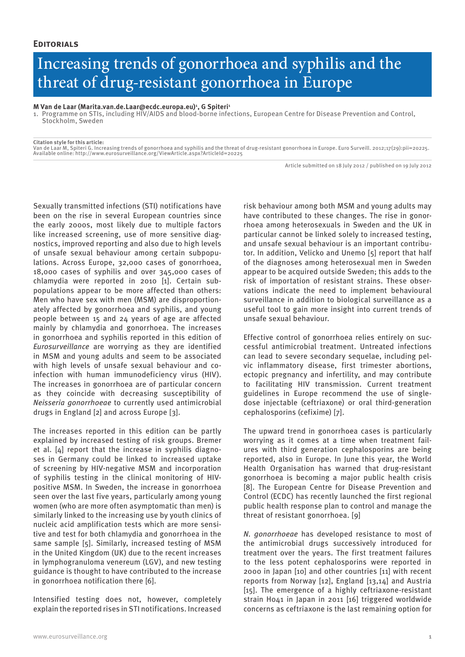## Increasing trends of gonorrhoea and syphilis and the threat of drug-resistant gonorrhoea in Europe

**M Van de Laar (Marita.van.de.Laar@ecdc.europa.eu)1 , G Spiteri1**

1. Programme on STIs, including HIV/AIDS and blood-borne infections, European Centre for Disease Prevention and Control, Stockholm, Sweden

**Citation style for this article:**

Van de Laar M, Spiteri G. Increasing trends of gonorrhoea and syphilis and the threat of drug-resistant gonorrhoea in Europe. Euro Surveill. 2012;17(29):pii=20225. Available online: http://www.eurosurveillance.org/ViewArticle.aspx?ArticleId=20225

Article submitted on 18 July 2012 / published on 19 July 2012

Sexually transmitted infections (STI) notifications have been on the rise in several European countries since the early 2000s, most likely due to multiple factors like increased screening, use of more sensitive diagnostics, improved reporting and also due to high levels of unsafe sexual behaviour among certain subpopulations. Across Europe, 32,000 cases of gonorrhoea, 18,000 cases of syphilis and over 345,000 cases of chlamydia were reported in 2010 [1]. Certain subpopulations appear to be more affected than others: Men who have sex with men (MSM) are disproportionately affected by gonorrhoea and syphilis, and young people between 15 and 24 years of age are affected mainly by chlamydia and gonorrhoea. The increases in gonorrhoea and syphilis reported in this edition of *Eurosurveillance* are worrying as they are identified in MSM and young adults and seem to be associated with high levels of unsafe sexual behaviour and coinfection with human immunodeficiency virus (HIV). The increases in gonorrhoea are of particular concern as they coincide with decreasing susceptibility of *Neisseria gonorrhoeae* to currently used antimicrobial drugs in England [2] and across Europe [3].

The increases reported in this edition can be partly explained by increased testing of risk groups. Bremer et al. [4] report that the increase in syphilis diagnoses in Germany could be linked to increased uptake of screening by HIV-negative MSM and incorporation of syphilis testing in the clinical monitoring of HIVpositive MSM. In Sweden, the increase in gonorrhoea seen over the last five years, particularly among young women (who are more often asymptomatic than men) is similarly linked to the increasing use by youth clinics of nucleic acid amplification tests which are more sensitive and test for both chlamydia and gonorrhoea in the same sample [5]. Similarly, increased testing of MSM in the United Kingdom (UK) due to the recent increases in lymphogranuloma venereum (LGV), and new testing guidance is thought to have contributed to the increase in gonorrhoea notification there [6].

Intensified testing does not, however, completely explain the reported rises in STI notifications. Increased

risk behaviour among both MSM and young adults may have contributed to these changes. The rise in gonorrhoea among heterosexuals in Sweden and the UK in particular cannot be linked solely to increased testing, and unsafe sexual behaviour is an important contributor. In addition, Velicko and Unemo [5] report that half of the diagnoses among heterosexual men in Sweden appear to be acquired outside Sweden; this adds to the risk of importation of resistant strains. These observations indicate the need to implement behavioural surveillance in addition to biological surveillance as a useful tool to gain more insight into current trends of unsafe sexual behaviour.

Effective control of gonorrhoea relies entirely on successful antimicrobial treatment. Untreated infections can lead to severe secondary sequelae, including pelvic inflammatory disease, first trimester abortions, ectopic pregnancy and infertility, and may contribute to facilitating HIV transmission. Current treatment guidelines in Europe recommend the use of singledose injectable (ceftriaxone) or oral third-generation cephalosporins (cefixime) [7].

The upward trend in gonorrhoea cases is particularly worrying as it comes at a time when treatment failures with third generation cephalosporins are being reported, also in Europe. In June this year, the World Health Organisation has warned that drug-resistant gonorrhoea is becoming a major public health crisis [8]. The European Centre for Disease Prevention and Control (ECDC) has recently launched the first regional public health response plan to control and manage the threat of resistant gonorrhoea. [9]

*N. gonorrhoeae* has developed resistance to most of the antimicrobial drugs successively introduced for treatment over the years. The first treatment failures to the less potent cephalosporins were reported in 2000 in Japan [10] and other countries [11] with recent reports from Norway [12], England [13,14] and Austria [15]. The emergence of a highly ceftriaxone-resistant strain H041 in Japan in 2011 [16] triggered worldwide concerns as ceftriaxone is the last remaining option for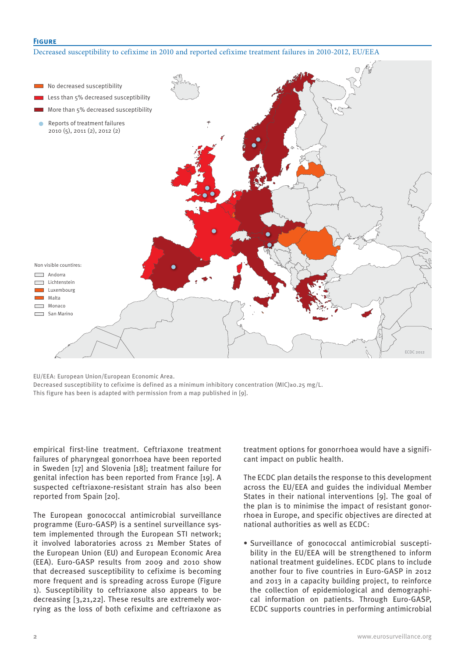## **Figure**

Decreased susceptibility to cefixime in 2010 and reported cefixime treatment failures in 2010-2012, EU/EEA



EU/EEA: European Union/European Economic Area.

Decreased susceptibility to cefixime is defined as a minimum inhibitory concentration (MIC)≥0.25 mg/L. This figure has been is adapted with permission from a map published in [9].

empirical first-line treatment. Ceftriaxone treatment failures of pharyngeal gonorrhoea have been reported in Sweden [17] and Slovenia [18]; treatment failure for genital infection has been reported from France [19]. A suspected ceftriaxone-resistant strain has also been reported from Spain [20].

The European gonococcal antimicrobial surveillance programme (Euro-GASP) is a sentinel surveillance system implemented through the European STI network; it involved laboratories across 21 Member States of the European Union (EU) and European Economic Area (EEA). Euro-GASP results from 2009 and 2010 show that decreased susceptibility to cefixime is becoming more frequent and is spreading across Europe (Figure 1). Susceptibility to ceftriaxone also appears to be decreasing [3,21,22]. These results are extremely worrying as the loss of both cefixime and ceftriaxone as treatment options for gonorrhoea would have a significant impact on public health.

The ECDC plan details the response to this development across the EU/EEA and guides the individual Member States in their national interventions [9]. The goal of the plan is to minimise the impact of resistant gonorrhoea in Europe, and specific objectives are directed at national authorities as well as ECDC:

• Surveillance of gonococcal antimicrobial susceptibility in the EU/EEA will be strengthened to inform national treatment guidelines. ECDC plans to include another four to five countries in Euro-GASP in 2012 and 2013 in a capacity building project, to reinforce the collection of epidemiological and demographical information on patients. Through Euro-GASP, ECDC supports countries in performing antimicrobial